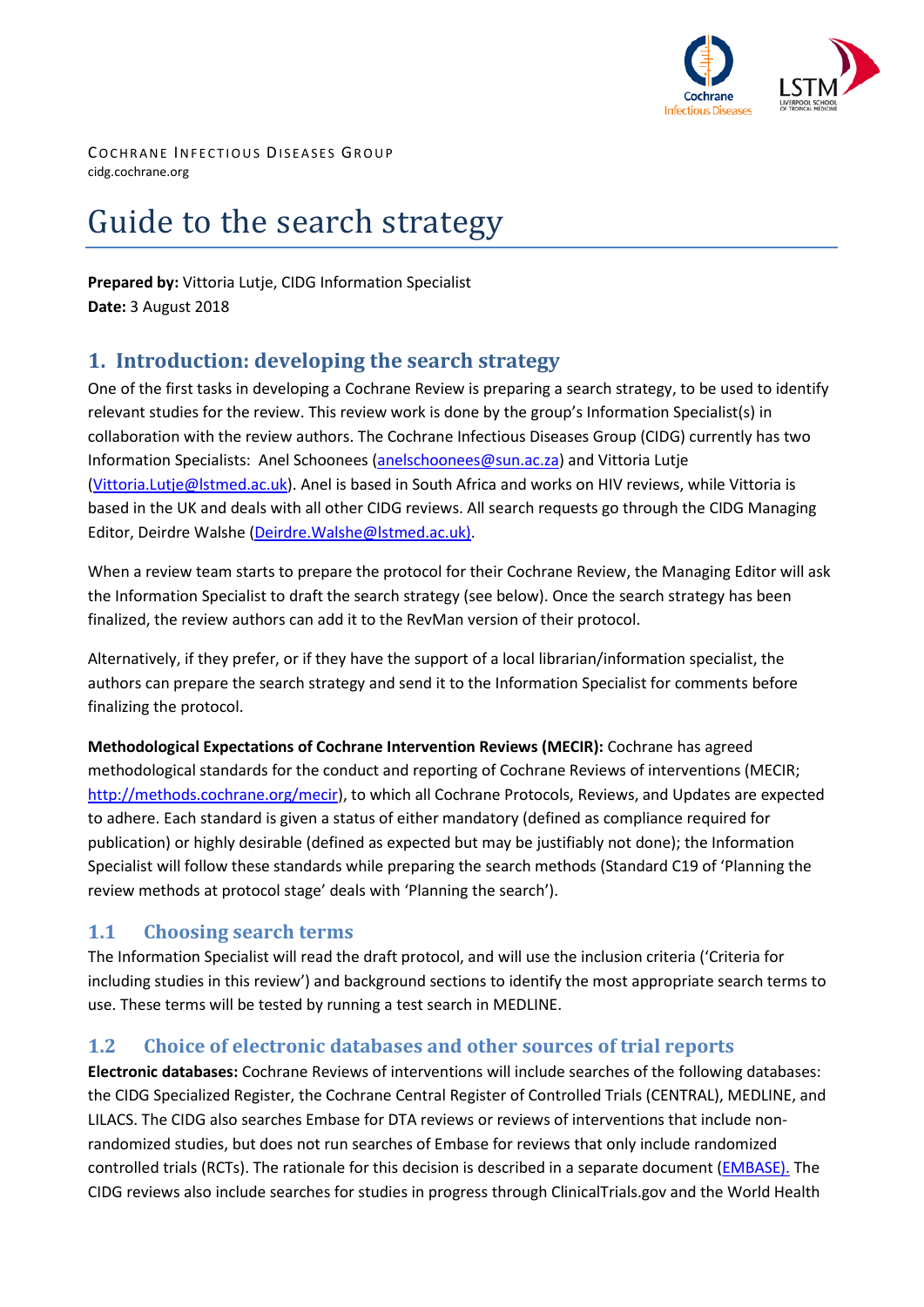

COCHRANE INFECTIOUS DISEASES GROUP cidg.cochrane.org

# Guide to the search strategy

**Prepared by:** Vittoria Lutje, CIDG Information Specialist **Date:** 3 August 2018

## **1. Introduction: developing the search strategy**

One of the first tasks in developing a Cochrane Review is preparing a search strategy, to be used to identify relevant studies for the review. This review work is done by the group's Information Specialist(s) in collaboration with the review authors. The Cochrane Infectious Diseases Group (CIDG) currently has two Information Specialists: Anel Schoonees [\(anelschoonees@sun.ac.za\)](mailto:anelschoonees@sun.ac.za) and Vittoria Lutje [\(Vittoria.Lutje@lstmed.ac.uk\)](mailto:Vittoria.Lutje@lstmed.ac.uk). Anel is based in South Africa and works on HIV reviews, while Vittoria is based in the UK and deals with all other CIDG reviews. All search requests go through the CIDG Managing Editor, Deirdre Walshe [\(Deirdre.Walshe@lstmed.ac.uk\).](mailto:Deirdre.Walshe@lstmed.ac.uk))

When a review team starts to prepare the protocol for their Cochrane Review, the Managing Editor will ask the Information Specialist to draft the search strategy (see below). Once the search strategy has been finalized, the review authors can add it to the RevMan version of their protocol.

Alternatively, if they prefer, or if they have the support of a local librarian/information specialist, the authors can prepare the search strategy and send it to the Information Specialist for comments before finalizing the protocol.

**Methodological Expectations of Cochrane Intervention Reviews (MECIR):** Cochrane has agreed methodological standards for the conduct and reporting of Cochrane Reviews of interventions (MECIR; [http://methods.cochrane.org/mecir\)](http://methods.cochrane.org/mecir), to which all Cochrane Protocols, Reviews, and Updates are expected to adhere. Each standard is given a status of either mandatory (defined as compliance required for publication) or highly desirable (defined as expected but may be justifiably not done); the Information Specialist will follow these standards while preparing the search methods (Standard C19 of 'Planning the review methods at protocol stage' deals with 'Planning the search').

#### **1.1 Choosing search terms**

The Information Specialist will read the draft protocol, and will use the inclusion criteria ('Criteria for including studies in this review') and background sections to identify the most appropriate search terms to use. These terms will be tested by running a test search in MEDLINE.

#### **1.2 Choice of electronic databases and other sources of trial reports**

**Electronic databases:** Cochrane Reviews of interventions will include searches of the following databases: the CIDG Specialized Register, the Cochrane Central Register of Controlled Trials (CENTRAL), MEDLINE, and LILACS. The CIDG also searches Embase for DTA reviews or reviews of interventions that include nonrandomized studies, but does not run searches of Embase for reviews that only include randomized controlled trials (RCTs). The rationale for this decision is described in a separate document [\(EMBASE\).](https://cidg.cochrane.org/sites/cidg.cochrane.org/files/public/uploads/embase_searches_for_cidg_reviews_march_2018_ph.pdf) The CIDG reviews also include searches for studies in progress through ClinicalTrials.gov and the World Health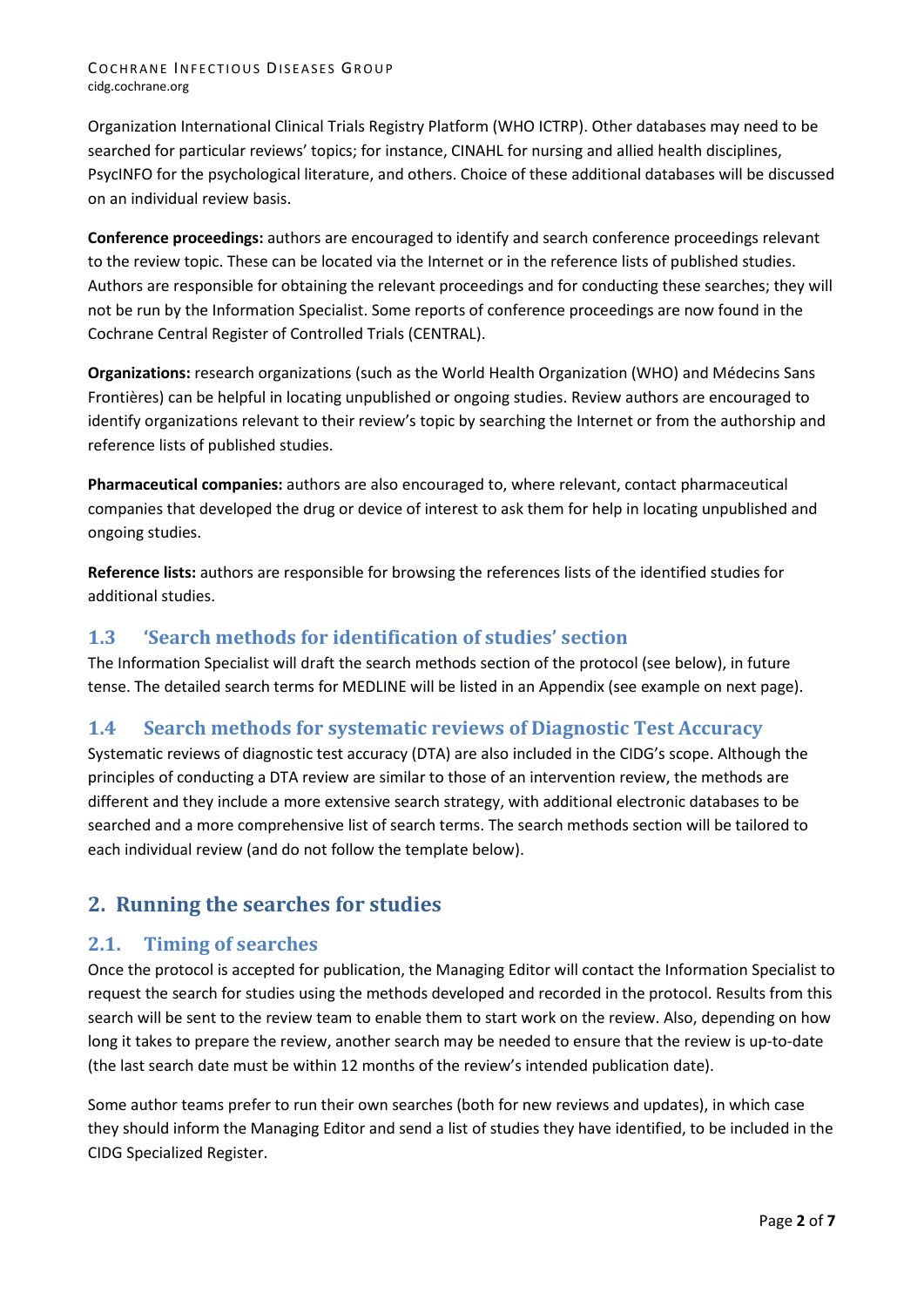#### COCHRANE INFECTIOUS DISEASES GROUP cidg.cochrane.org

Organization International Clinical Trials Registry Platform (WHO ICTRP). Other databases may need to be searched for particular reviews' topics; for instance, CINAHL for nursing and allied health disciplines, PsycINFO for the psychological literature, and others. Choice of these additional databases will be discussed on an individual review basis.

**Conference proceedings:** authors are encouraged to identify and search conference proceedings relevant to the review topic. These can be located via the Internet or in the reference lists of published studies. Authors are responsible for obtaining the relevant proceedings and for conducting these searches; they will not be run by the Information Specialist. Some reports of conference proceedings are now found in the Cochrane Central Register of Controlled Trials (CENTRAL).

**Organizations:** research organizations (such as the World Health Organization (WHO) and Médecins Sans Frontières) can be helpful in locating unpublished or ongoing studies. Review authors are encouraged to identify organizations relevant to their review's topic by searching the Internet or from the authorship and reference lists of published studies.

**Pharmaceutical companies:** authors are also encouraged to, where relevant, contact pharmaceutical companies that developed the drug or device of interest to ask them for help in locating unpublished and ongoing studies.

**Reference lists:** authors are responsible for browsing the references lists of the identified studies for additional studies.

#### **1.3 'Search methods for identification of studies' section**

The Information Specialist will draft the search methods section of the protocol (see below), in future tense. The detailed search terms for MEDLINE will be listed in an Appendix (see example on next page).

## **1.4 Search methods for systematic reviews of Diagnostic Test Accuracy**

Systematic reviews of diagnostic test accuracy (DTA) are also included in the CIDG's scope. Although the principles of conducting a DTA review are similar to those of an intervention review, the methods are different and they include a more extensive search strategy, with additional electronic databases to be searched and a more comprehensive list of search terms. The search methods section will be tailored to each individual review (and do not follow the template below).

## **2. Running the searches for studies**

#### **2.1. Timing of searches**

Once the protocol is accepted for publication, the Managing Editor will contact the Information Specialist to request the search for studies using the methods developed and recorded in the protocol. Results from this search will be sent to the review team to enable them to start work on the review. Also, depending on how long it takes to prepare the review, another search may be needed to ensure that the review is up-to-date (the last search date must be within 12 months of the review's intended publication date).

Some author teams prefer to run their own searches (both for new reviews and updates), in which case they should inform the Managing Editor and send a list of studies they have identified, to be included in the CIDG Specialized Register.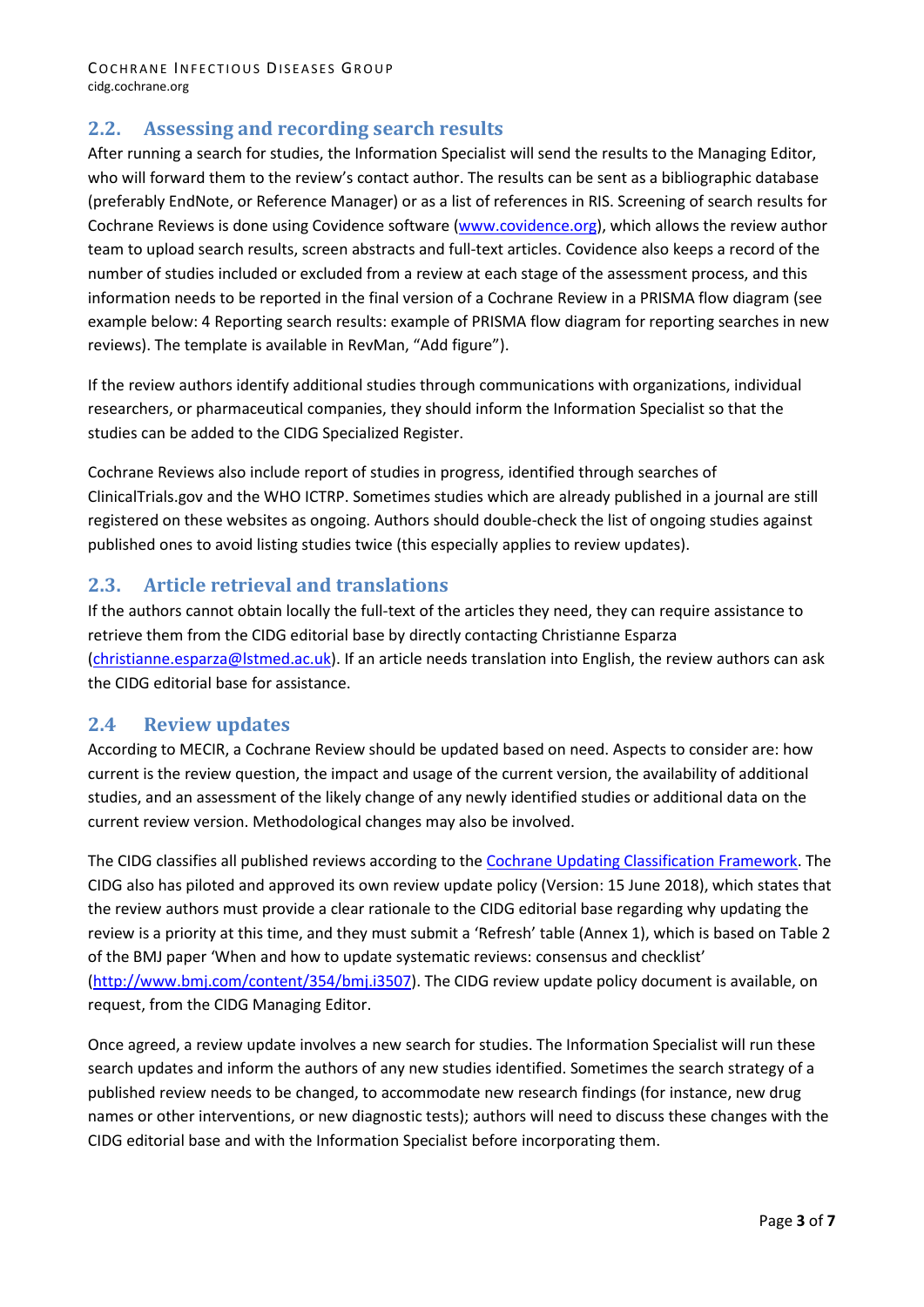#### **2.2. Assessing and recording search results**

After running a search for studies, the Information Specialist will send the results to the Managing Editor, who will forward them to the review's contact author. The results can be sent as a bibliographic database (preferably EndNote, or Reference Manager) or as a list of references in RIS. Screening of search results for Cochrane Reviews is done using Covidence software [\(www.covidence.org\)](http://www.covidence.org/), which allows the review author team to upload search results, screen abstracts and full-text articles. Covidence also keeps a record of the number of studies included or excluded from a review at each stage of the assessment process, and this information needs to be reported in the final version of a Cochrane Review in a PRISMA flow diagram (see example below: 4 Reporting search results: example of PRISMA flow diagram for reporting searches in new reviews). The template is available in RevMan, "Add figure").

If the review authors identify additional studies through communications with organizations, individual researchers, or pharmaceutical companies, they should inform the Information Specialist so that the studies can be added to the CIDG Specialized Register.

Cochrane Reviews also include report of studies in progress, identified through searches of ClinicalTrials.gov and the WHO ICTRP. Sometimes studies which are already published in a journal are still registered on these websites as ongoing. Authors should double-check the list of ongoing studies against published ones to avoid listing studies twice (this especially applies to review updates).

#### **2.3. Article retrieval and translations**

If the authors cannot obtain locally the full-text of the articles they need, they can require assistance to retrieve them from the CIDG editorial base by directly contacting Christianne Esparza [\(christianne.esparza@lstmed.ac.uk\)](mailto:christianne.esparza@lstmed.ac.uk). If an article needs translation into English, the review authors can ask the CIDG editorial base for assistance.

#### **2.4 Review updates**

According to MECIR, a Cochrane Review should be updated based on need. Aspects to consider are: how current is the review question, the impact and usage of the current version, the availability of additional studies, and an assessment of the likely change of any newly identified studies or additional data on the current review version. Methodological changes may also be involved.

The CIDG classifies all published reviews according to th[e Cochrane Updating Classification Framework.](https://community.cochrane.org/sites/default/files/uploads/inline-files/Cochrane_UCS-Guide.pdf) The CIDG also has piloted and approved its own review update policy (Version: 15 June 2018), which states that the review authors must provide a clear rationale to the CIDG editorial base regarding why updating the review is a priority at this time, and they must submit a 'Refresh' table (Annex 1), which is based on Table 2 of the BMJ paper 'When and how to update systematic reviews: consensus and checklist' [\(http://www.bmj.com/content/354/bmj.i3507\)](http://www.bmj.com/content/354/bmj.i3507). The CIDG review update policy document is available, on request, from the CIDG Managing Editor.

Once agreed, a review update involves a new search for studies. The Information Specialist will run these search updates and inform the authors of any new studies identified. Sometimes the search strategy of a published review needs to be changed, to accommodate new research findings (for instance, new drug names or other interventions, or new diagnostic tests); authors will need to discuss these changes with the CIDG editorial base and with the Information Specialist before incorporating them.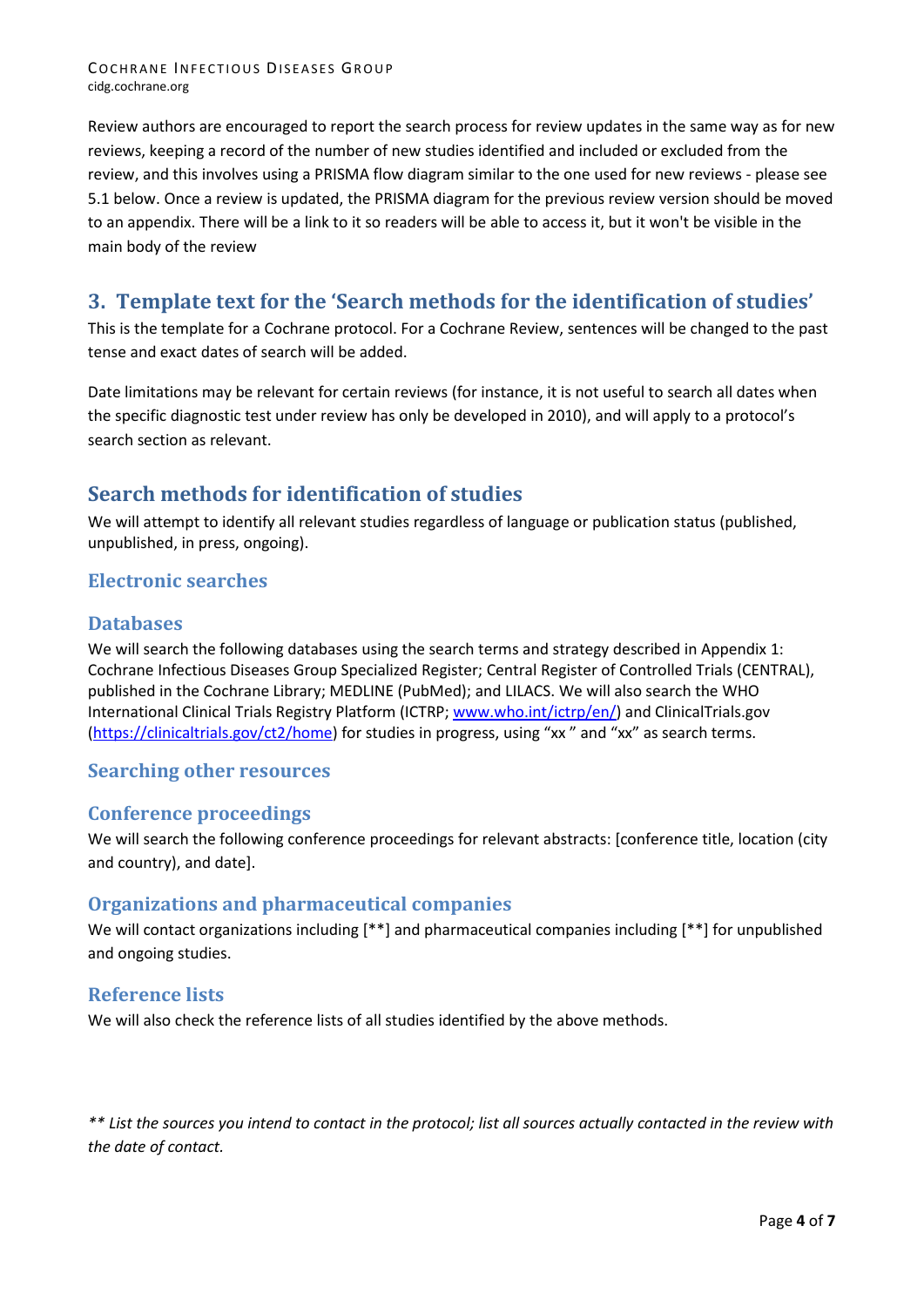Review authors are encouraged to report the search process for review updates in the same way as for new reviews, keeping a record of the number of new studies identified and included or excluded from the review, and this involves using a PRISMA flow diagram similar to the one used for new reviews - please see 5.1 below. Once a review is updated, the PRISMA diagram for the previous review version should be moved to an appendix. There will be a link to it so readers will be able to access it, but it won't be visible in the main body of the review

## **3. Template text for the 'Search methods for the identification of studies'**

This is the template for a Cochrane protocol. For a Cochrane Review, sentences will be changed to the past tense and exact dates of search will be added.

Date limitations may be relevant for certain reviews (for instance, it is not useful to search all dates when the specific diagnostic test under review has only be developed in 2010), and will apply to a protocol's search section as relevant.

## **Search methods for identification of studies**

We will attempt to identify all relevant studies regardless of language or publication status (published, unpublished, in press, ongoing).

#### **Electronic searches**

#### **Databases**

We will search the following databases using the search terms and strategy described in Appendix 1: Cochrane Infectious Diseases Group Specialized Register; Central Register of Controlled Trials (CENTRAL), published in the Cochrane Library; MEDLINE (PubMed); and LILACS. We will also search the WHO International Clinical Trials Registry Platform (ICTRP; [www.who.int/ictrp/en/\)](http://www.who.int/ictrp/en/) and ClinicalTrials.gov [\(https://clinicaltrials.gov/ct2/home\)](https://clinicaltrials.gov/ct2/home) for studies in progress, using "xx " and "xx" as search terms.

#### **Searching other resources**

#### **Conference proceedings**

We will search the following conference proceedings for relevant abstracts: [conference title, location (city and country), and date].

#### **Organizations and pharmaceutical companies**

We will contact organizations including [\*\*] and pharmaceutical companies including [\*\*] for unpublished and ongoing studies.

#### **Reference lists**

We will also check the reference lists of all studies identified by the above methods.

*\*\* List the sources you intend to contact in the protocol; list all sources actually contacted in the review with the date of contact.*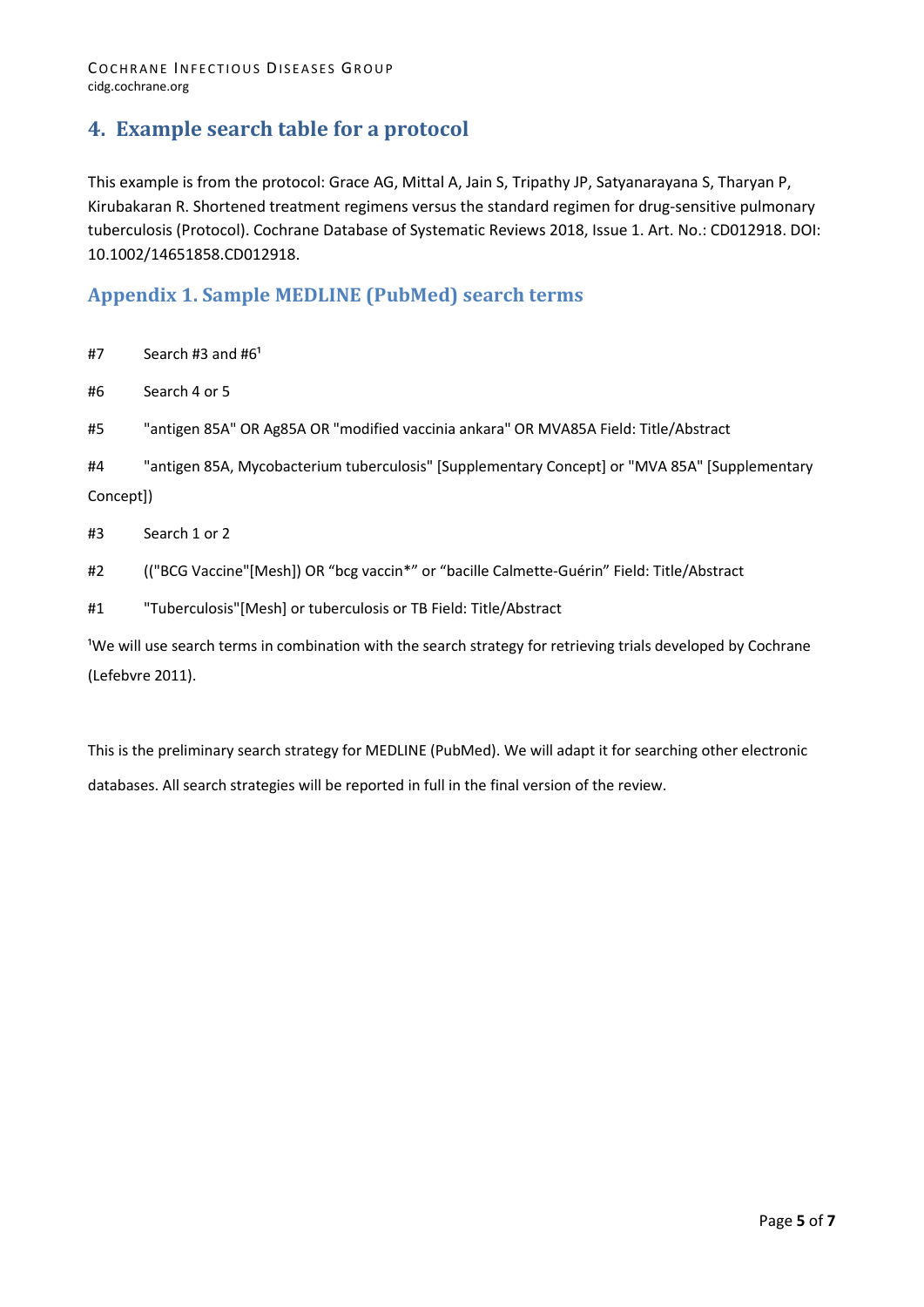## **4. Example search table for a protocol**

This example is from the protocol: Grace AG, Mittal A, Jain S, Tripathy JP, Satyanarayana S, Tharyan P, Kirubakaran R. Shortened treatment regimens versus the standard regimen for drug-sensitive pulmonary tuberculosis (Protocol). Cochrane Database of Systematic Reviews 2018, Issue 1. Art. No.: CD012918. DOI: 10.1002/14651858.CD012918.

#### **Appendix 1. Sample MEDLINE (PubMed) search terms**

 $#7$  Search #3 and #6<sup>1</sup>

#6 Search 4 or 5

#5 "antigen 85A" OR Ag85A OR "modified vaccinia ankara" OR MVA85A Field: Title/Abstract

#4 "antigen 85A, Mycobacterium tuberculosis" [Supplementary Concept] or "MVA 85A" [Supplementary Concept])

#3 Search 1 or 2

- #2 (("BCG Vaccine"[Mesh]) OR "bcg vaccin\*" or "bacille Calmette-Guérin" Field: Title/Abstract
- #1 "Tuberculosis"[Mesh] or tuberculosis or TB Field: Title/Abstract

<sup>1</sup>We will use search terms in combination with the search strategy for retrieving trials developed by Cochrane (Lefebvre 2011).

This is the preliminary search strategy for MEDLINE (PubMed). We will adapt it for searching other electronic databases. All search strategies will be reported in full in the final version of the review.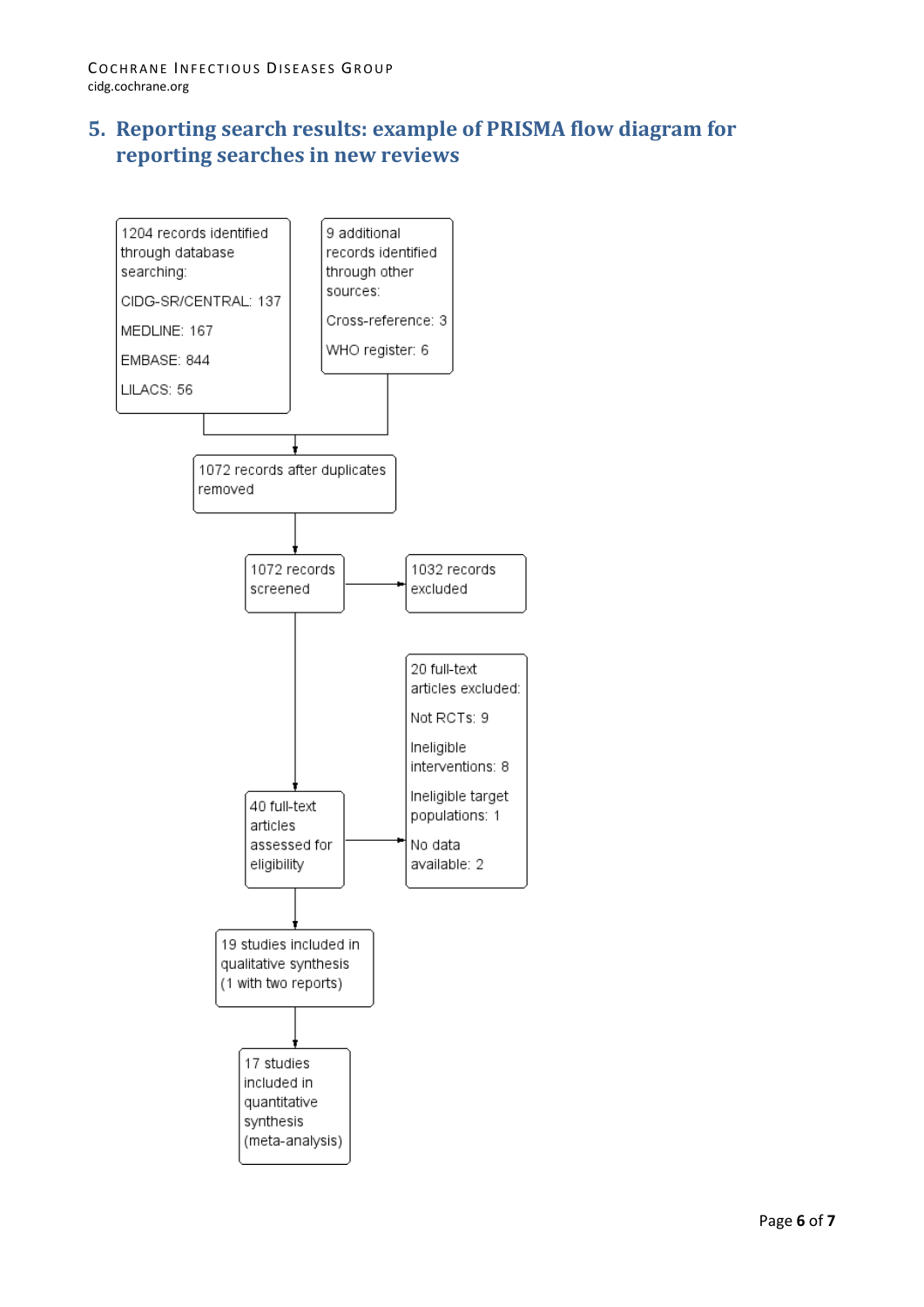## **5. Reporting search results: example of PRISMA flow diagram for reporting searches in new reviews**